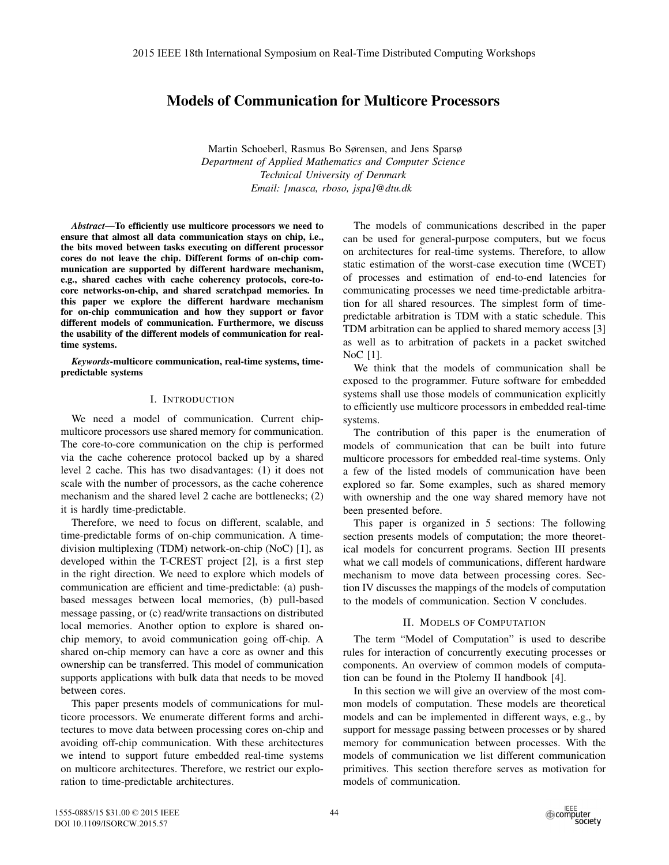# Models of Communication for Multicore Processors

Martin Schoeberl, Rasmus Bo Sørensen, and Jens Sparsø *Department of Applied Mathematics and Computer Science Technical University of Denmark Email: [masca, rboso, jspa]@dtu.dk*

*Abstract*—To efficiently use multicore processors we need to ensure that almost all data communication stays on chip, i.e., the bits moved between tasks executing on different processor cores do not leave the chip. Different forms of on-chip communication are supported by different hardware mechanism, e.g., shared caches with cache coherency protocols, core-tocore networks-on-chip, and shared scratchpad memories. In this paper we explore the different hardware mechanism for on-chip communication and how they support or favor different models of communication. Furthermore, we discuss the usability of the different models of communication for realtime systems.

*Keywords*-multicore communication, real-time systems, timepredictable systems

#### I. INTRODUCTION

We need a model of communication. Current chipmulticore processors use shared memory for communication. The core-to-core communication on the chip is performed via the cache coherence protocol backed up by a shared level 2 cache. This has two disadvantages: (1) it does not scale with the number of processors, as the cache coherence mechanism and the shared level 2 cache are bottlenecks; (2) it is hardly time-predictable.

Therefore, we need to focus on different, scalable, and time-predictable forms of on-chip communication. A timedivision multiplexing (TDM) network-on-chip (NoC) [1], as developed within the T-CREST project [2], is a first step in the right direction. We need to explore which models of communication are efficient and time-predictable: (a) pushbased messages between local memories, (b) pull-based message passing, or (c) read/write transactions on distributed local memories. Another option to explore is shared onchip memory, to avoid communication going off-chip. A shared on-chip memory can have a core as owner and this ownership can be transferred. This model of communication supports applications with bulk data that needs to be moved between cores.

This paper presents models of communications for multicore processors. We enumerate different forms and architectures to move data between processing cores on-chip and avoiding off-chip communication. With these architectures we intend to support future embedded real-time systems on multicore architectures. Therefore, we restrict our exploration to time-predictable architectures.

The models of communications described in the paper can be used for general-purpose computers, but we focus on architectures for real-time systems. Therefore, to allow static estimation of the worst-case execution time (WCET) of processes and estimation of end-to-end latencies for communicating processes we need time-predictable arbitration for all shared resources. The simplest form of timepredictable arbitration is TDM with a static schedule. This TDM arbitration can be applied to shared memory access [3] as well as to arbitration of packets in a packet switched NoC [1].

We think that the models of communication shall be exposed to the programmer. Future software for embedded systems shall use those models of communication explicitly to efficiently use multicore processors in embedded real-time systems.

The contribution of this paper is the enumeration of models of communication that can be built into future multicore processors for embedded real-time systems. Only a few of the listed models of communication have been explored so far. Some examples, such as shared memory with ownership and the one way shared memory have not been presented before.

This paper is organized in 5 sections: The following section presents models of computation; the more theoretical models for concurrent programs. Section III presents what we call models of communications, different hardware mechanism to move data between processing cores. Section IV discusses the mappings of the models of computation to the models of communication. Section V concludes.

## II. MODELS OF COMPUTATION

The term "Model of Computation" is used to describe rules for interaction of concurrently executing processes or components. An overview of common models of computation can be found in the Ptolemy II handbook [4].

In this section we will give an overview of the most common models of computation. These models are theoretical models and can be implemented in different ways, e.g., by support for message passing between processes or by shared memory for communication between processes. With the models of communication we list different communication primitives. This section therefore serves as motivation for models of communication.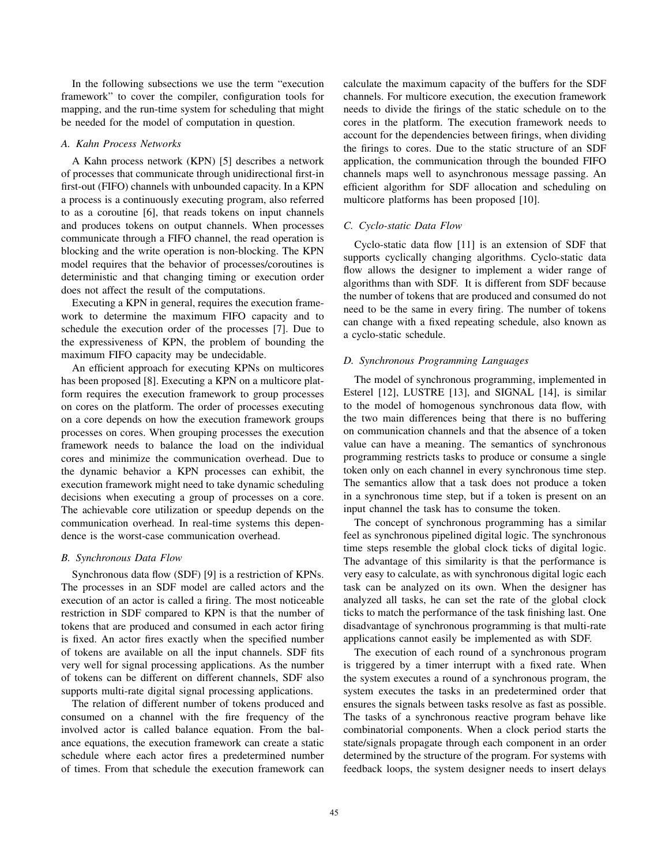In the following subsections we use the term "execution framework" to cover the compiler, configuration tools for mapping, and the run-time system for scheduling that might be needed for the model of computation in question.

# *A. Kahn Process Networks*

A Kahn process network (KPN) [5] describes a network of processes that communicate through unidirectional first-in first-out (FIFO) channels with unbounded capacity. In a KPN a process is a continuously executing program, also referred to as a coroutine [6], that reads tokens on input channels and produces tokens on output channels. When processes communicate through a FIFO channel, the read operation is blocking and the write operation is non-blocking. The KPN model requires that the behavior of processes/coroutines is deterministic and that changing timing or execution order does not affect the result of the computations.

Executing a KPN in general, requires the execution framework to determine the maximum FIFO capacity and to schedule the execution order of the processes [7]. Due to the expressiveness of KPN, the problem of bounding the maximum FIFO capacity may be undecidable.

An efficient approach for executing KPNs on multicores has been proposed [8]. Executing a KPN on a multicore platform requires the execution framework to group processes on cores on the platform. The order of processes executing on a core depends on how the execution framework groups processes on cores. When grouping processes the execution framework needs to balance the load on the individual cores and minimize the communication overhead. Due to the dynamic behavior a KPN processes can exhibit, the execution framework might need to take dynamic scheduling decisions when executing a group of processes on a core. The achievable core utilization or speedup depends on the communication overhead. In real-time systems this dependence is the worst-case communication overhead.

#### *B. Synchronous Data Flow*

Synchronous data flow (SDF) [9] is a restriction of KPNs. The processes in an SDF model are called actors and the execution of an actor is called a firing. The most noticeable restriction in SDF compared to KPN is that the number of tokens that are produced and consumed in each actor firing is fixed. An actor fires exactly when the specified number of tokens are available on all the input channels. SDF fits very well for signal processing applications. As the number of tokens can be different on different channels, SDF also supports multi-rate digital signal processing applications.

The relation of different number of tokens produced and consumed on a channel with the fire frequency of the involved actor is called balance equation. From the balance equations, the execution framework can create a static schedule where each actor fires a predetermined number of times. From that schedule the execution framework can

calculate the maximum capacity of the buffers for the SDF channels. For multicore execution, the execution framework needs to divide the firings of the static schedule on to the cores in the platform. The execution framework needs to account for the dependencies between firings, when dividing the firings to cores. Due to the static structure of an SDF application, the communication through the bounded FIFO channels maps well to asynchronous message passing. An efficient algorithm for SDF allocation and scheduling on multicore platforms has been proposed [10].

#### *C. Cyclo-static Data Flow*

Cyclo-static data flow [11] is an extension of SDF that supports cyclically changing algorithms. Cyclo-static data flow allows the designer to implement a wider range of algorithms than with SDF. It is different from SDF because the number of tokens that are produced and consumed do not need to be the same in every firing. The number of tokens can change with a fixed repeating schedule, also known as a cyclo-static schedule.

## *D. Synchronous Programming Languages*

The model of synchronous programming, implemented in Esterel [12], LUSTRE [13], and SIGNAL [14], is similar to the model of homogenous synchronous data flow, with the two main differences being that there is no buffering on communication channels and that the absence of a token value can have a meaning. The semantics of synchronous programming restricts tasks to produce or consume a single token only on each channel in every synchronous time step. The semantics allow that a task does not produce a token in a synchronous time step, but if a token is present on an input channel the task has to consume the token.

The concept of synchronous programming has a similar feel as synchronous pipelined digital logic. The synchronous time steps resemble the global clock ticks of digital logic. The advantage of this similarity is that the performance is very easy to calculate, as with synchronous digital logic each task can be analyzed on its own. When the designer has analyzed all tasks, he can set the rate of the global clock ticks to match the performance of the task finishing last. One disadvantage of synchronous programming is that multi-rate applications cannot easily be implemented as with SDF.

The execution of each round of a synchronous program is triggered by a timer interrupt with a fixed rate. When the system executes a round of a synchronous program, the system executes the tasks in an predetermined order that ensures the signals between tasks resolve as fast as possible. The tasks of a synchronous reactive program behave like combinatorial components. When a clock period starts the state/signals propagate through each component in an order determined by the structure of the program. For systems with feedback loops, the system designer needs to insert delays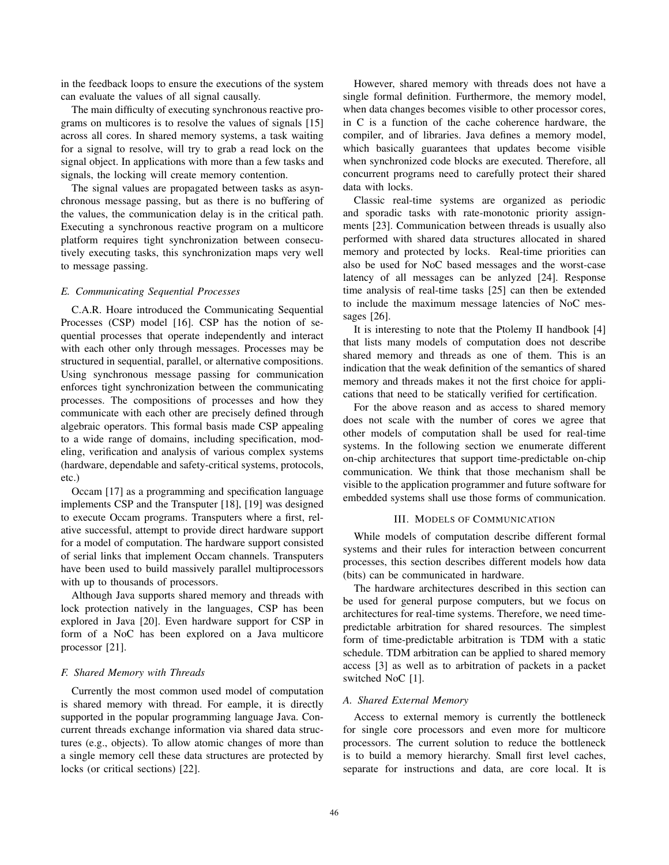in the feedback loops to ensure the executions of the system can evaluate the values of all signal causally.

The main difficulty of executing synchronous reactive programs on multicores is to resolve the values of signals [15] across all cores. In shared memory systems, a task waiting for a signal to resolve, will try to grab a read lock on the signal object. In applications with more than a few tasks and signals, the locking will create memory contention.

The signal values are propagated between tasks as asynchronous message passing, but as there is no buffering of the values, the communication delay is in the critical path. Executing a synchronous reactive program on a multicore platform requires tight synchronization between consecutively executing tasks, this synchronization maps very well to message passing.

## *E. Communicating Sequential Processes*

C.A.R. Hoare introduced the Communicating Sequential Processes (CSP) model [16]. CSP has the notion of sequential processes that operate independently and interact with each other only through messages. Processes may be structured in sequential, parallel, or alternative compositions. Using synchronous message passing for communication enforces tight synchronization between the communicating processes. The compositions of processes and how they communicate with each other are precisely defined through algebraic operators. This formal basis made CSP appealing to a wide range of domains, including specification, modeling, verification and analysis of various complex systems (hardware, dependable and safety-critical systems, protocols, etc.)

Occam [17] as a programming and specification language implements CSP and the Transputer [18], [19] was designed to execute Occam programs. Transputers where a first, relative successful, attempt to provide direct hardware support for a model of computation. The hardware support consisted of serial links that implement Occam channels. Transputers have been used to build massively parallel multiprocessors with up to thousands of processors.

Although Java supports shared memory and threads with lock protection natively in the languages, CSP has been explored in Java [20]. Even hardware support for CSP in form of a NoC has been explored on a Java multicore processor [21].

# *F. Shared Memory with Threads*

Currently the most common used model of computation is shared memory with thread. For eample, it is directly supported in the popular programming language Java. Concurrent threads exchange information via shared data structures (e.g., objects). To allow atomic changes of more than a single memory cell these data structures are protected by locks (or critical sections) [22].

However, shared memory with threads does not have a single formal definition. Furthermore, the memory model, when data changes becomes visible to other processor cores, in C is a function of the cache coherence hardware, the compiler, and of libraries. Java defines a memory model, which basically guarantees that updates become visible when synchronized code blocks are executed. Therefore, all concurrent programs need to carefully protect their shared data with locks.

Classic real-time systems are organized as periodic and sporadic tasks with rate-monotonic priority assignments [23]. Communication between threads is usually also performed with shared data structures allocated in shared memory and protected by locks. Real-time priorities can also be used for NoC based messages and the worst-case latency of all messages can be anlyzed [24]. Response time analysis of real-time tasks [25] can then be extended to include the maximum message latencies of NoC messages [26].

It is interesting to note that the Ptolemy II handbook [4] that lists many models of computation does not describe shared memory and threads as one of them. This is an indication that the weak definition of the semantics of shared memory and threads makes it not the first choice for applications that need to be statically verified for certification.

For the above reason and as access to shared memory does not scale with the number of cores we agree that other models of computation shall be used for real-time systems. In the following section we enumerate different on-chip architectures that support time-predictable on-chip communication. We think that those mechanism shall be visible to the application programmer and future software for embedded systems shall use those forms of communication.

## III. MODELS OF COMMUNICATION

While models of computation describe different formal systems and their rules for interaction between concurrent processes, this section describes different models how data (bits) can be communicated in hardware.

The hardware architectures described in this section can be used for general purpose computers, but we focus on architectures for real-time systems. Therefore, we need timepredictable arbitration for shared resources. The simplest form of time-predictable arbitration is TDM with a static schedule. TDM arbitration can be applied to shared memory access [3] as well as to arbitration of packets in a packet switched NoC [1].

#### *A. Shared External Memory*

Access to external memory is currently the bottleneck for single core processors and even more for multicore processors. The current solution to reduce the bottleneck is to build a memory hierarchy. Small first level caches, separate for instructions and data, are core local. It is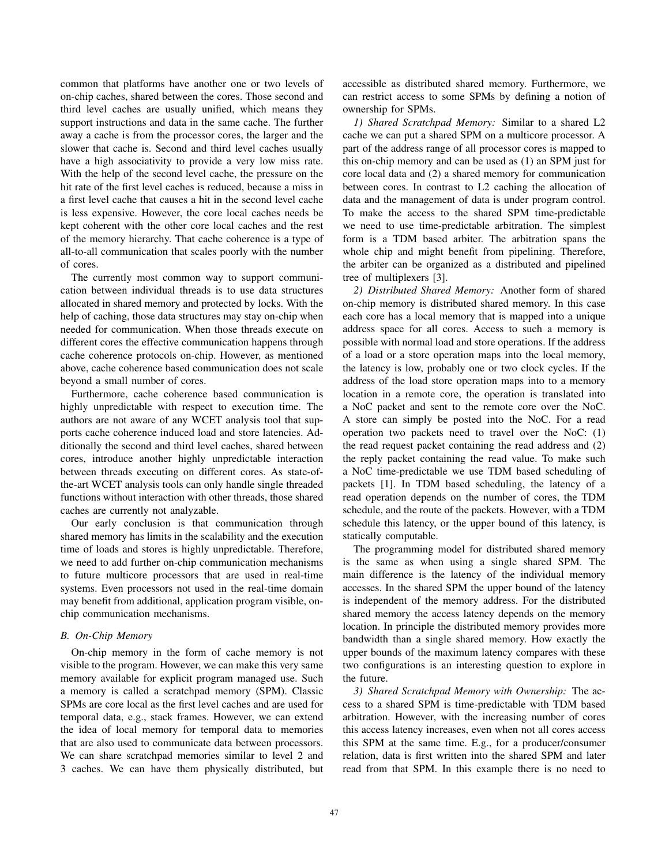common that platforms have another one or two levels of on-chip caches, shared between the cores. Those second and third level caches are usually unified, which means they support instructions and data in the same cache. The further away a cache is from the processor cores, the larger and the slower that cache is. Second and third level caches usually have a high associativity to provide a very low miss rate. With the help of the second level cache, the pressure on the hit rate of the first level caches is reduced, because a miss in a first level cache that causes a hit in the second level cache is less expensive. However, the core local caches needs be kept coherent with the other core local caches and the rest of the memory hierarchy. That cache coherence is a type of all-to-all communication that scales poorly with the number of cores.

The currently most common way to support communication between individual threads is to use data structures allocated in shared memory and protected by locks. With the help of caching, those data structures may stay on-chip when needed for communication. When those threads execute on different cores the effective communication happens through cache coherence protocols on-chip. However, as mentioned above, cache coherence based communication does not scale beyond a small number of cores.

Furthermore, cache coherence based communication is highly unpredictable with respect to execution time. The authors are not aware of any WCET analysis tool that supports cache coherence induced load and store latencies. Additionally the second and third level caches, shared between cores, introduce another highly unpredictable interaction between threads executing on different cores. As state-ofthe-art WCET analysis tools can only handle single threaded functions without interaction with other threads, those shared caches are currently not analyzable.

Our early conclusion is that communication through shared memory has limits in the scalability and the execution time of loads and stores is highly unpredictable. Therefore, we need to add further on-chip communication mechanisms to future multicore processors that are used in real-time systems. Even processors not used in the real-time domain may benefit from additional, application program visible, onchip communication mechanisms.

# *B. On-Chip Memory*

On-chip memory in the form of cache memory is not visible to the program. However, we can make this very same memory available for explicit program managed use. Such a memory is called a scratchpad memory (SPM). Classic SPMs are core local as the first level caches and are used for temporal data, e.g., stack frames. However, we can extend the idea of local memory for temporal data to memories that are also used to communicate data between processors. We can share scratchpad memories similar to level 2 and 3 caches. We can have them physically distributed, but

accessible as distributed shared memory. Furthermore, we can restrict access to some SPMs by defining a notion of ownership for SPMs.

*1) Shared Scratchpad Memory:* Similar to a shared L2 cache we can put a shared SPM on a multicore processor. A part of the address range of all processor cores is mapped to this on-chip memory and can be used as (1) an SPM just for core local data and (2) a shared memory for communication between cores. In contrast to L2 caching the allocation of data and the management of data is under program control. To make the access to the shared SPM time-predictable we need to use time-predictable arbitration. The simplest form is a TDM based arbiter. The arbitration spans the whole chip and might benefit from pipelining. Therefore, the arbiter can be organized as a distributed and pipelined tree of multiplexers [3].

*2) Distributed Shared Memory:* Another form of shared on-chip memory is distributed shared memory. In this case each core has a local memory that is mapped into a unique address space for all cores. Access to such a memory is possible with normal load and store operations. If the address of a load or a store operation maps into the local memory, the latency is low, probably one or two clock cycles. If the address of the load store operation maps into to a memory location in a remote core, the operation is translated into a NoC packet and sent to the remote core over the NoC. A store can simply be posted into the NoC. For a read operation two packets need to travel over the NoC: (1) the read request packet containing the read address and (2) the reply packet containing the read value. To make such a NoC time-predictable we use TDM based scheduling of packets [1]. In TDM based scheduling, the latency of a read operation depends on the number of cores, the TDM schedule, and the route of the packets. However, with a TDM schedule this latency, or the upper bound of this latency, is statically computable.

The programming model for distributed shared memory is the same as when using a single shared SPM. The main difference is the latency of the individual memory accesses. In the shared SPM the upper bound of the latency is independent of the memory address. For the distributed shared memory the access latency depends on the memory location. In principle the distributed memory provides more bandwidth than a single shared memory. How exactly the upper bounds of the maximum latency compares with these two configurations is an interesting question to explore in the future.

*3) Shared Scratchpad Memory with Ownership:* The access to a shared SPM is time-predictable with TDM based arbitration. However, with the increasing number of cores this access latency increases, even when not all cores access this SPM at the same time. E.g., for a producer/consumer relation, data is first written into the shared SPM and later read from that SPM. In this example there is no need to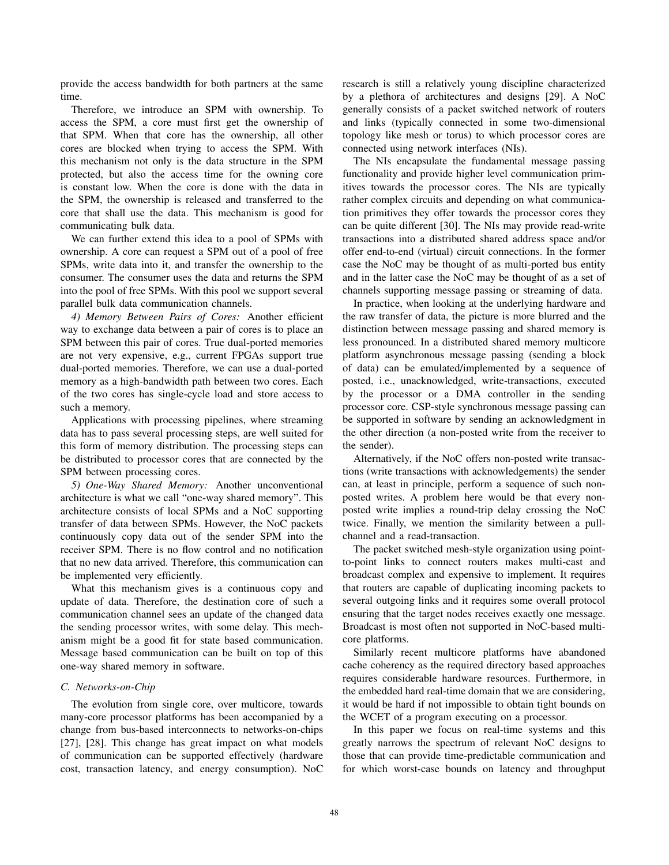provide the access bandwidth for both partners at the same time.

Therefore, we introduce an SPM with ownership. To access the SPM, a core must first get the ownership of that SPM. When that core has the ownership, all other cores are blocked when trying to access the SPM. With this mechanism not only is the data structure in the SPM protected, but also the access time for the owning core is constant low. When the core is done with the data in the SPM, the ownership is released and transferred to the core that shall use the data. This mechanism is good for communicating bulk data.

We can further extend this idea to a pool of SPMs with ownership. A core can request a SPM out of a pool of free SPMs, write data into it, and transfer the ownership to the consumer. The consumer uses the data and returns the SPM into the pool of free SPMs. With this pool we support several parallel bulk data communication channels.

*4) Memory Between Pairs of Cores:* Another efficient way to exchange data between a pair of cores is to place an SPM between this pair of cores. True dual-ported memories are not very expensive, e.g., current FPGAs support true dual-ported memories. Therefore, we can use a dual-ported memory as a high-bandwidth path between two cores. Each of the two cores has single-cycle load and store access to such a memory.

Applications with processing pipelines, where streaming data has to pass several processing steps, are well suited for this form of memory distribution. The processing steps can be distributed to processor cores that are connected by the SPM between processing cores.

*5) One-Way Shared Memory:* Another unconventional architecture is what we call "one-way shared memory". This architecture consists of local SPMs and a NoC supporting transfer of data between SPMs. However, the NoC packets continuously copy data out of the sender SPM into the receiver SPM. There is no flow control and no notification that no new data arrived. Therefore, this communication can be implemented very efficiently.

What this mechanism gives is a continuous copy and update of data. Therefore, the destination core of such a communication channel sees an update of the changed data the sending processor writes, with some delay. This mechanism might be a good fit for state based communication. Message based communication can be built on top of this one-way shared memory in software.

## *C. Networks-on-Chip*

The evolution from single core, over multicore, towards many-core processor platforms has been accompanied by a change from bus-based interconnects to networks-on-chips [27], [28]. This change has great impact on what models of communication can be supported effectively (hardware cost, transaction latency, and energy consumption). NoC research is still a relatively young discipline characterized by a plethora of architectures and designs [29]. A NoC generally consists of a packet switched network of routers and links (typically connected in some two-dimensional topology like mesh or torus) to which processor cores are connected using network interfaces (NIs).

The NIs encapsulate the fundamental message passing functionality and provide higher level communication primitives towards the processor cores. The NIs are typically rather complex circuits and depending on what communication primitives they offer towards the processor cores they can be quite different [30]. The NIs may provide read-write transactions into a distributed shared address space and/or offer end-to-end (virtual) circuit connections. In the former case the NoC may be thought of as multi-ported bus entity and in the latter case the NoC may be thought of as a set of channels supporting message passing or streaming of data.

In practice, when looking at the underlying hardware and the raw transfer of data, the picture is more blurred and the distinction between message passing and shared memory is less pronounced. In a distributed shared memory multicore platform asynchronous message passing (sending a block of data) can be emulated/implemented by a sequence of posted, i.e., unacknowledged, write-transactions, executed by the processor or a DMA controller in the sending processor core. CSP-style synchronous message passing can be supported in software by sending an acknowledgment in the other direction (a non-posted write from the receiver to the sender).

Alternatively, if the NoC offers non-posted write transactions (write transactions with acknowledgements) the sender can, at least in principle, perform a sequence of such nonposted writes. A problem here would be that every nonposted write implies a round-trip delay crossing the NoC twice. Finally, we mention the similarity between a pullchannel and a read-transaction.

The packet switched mesh-style organization using pointto-point links to connect routers makes multi-cast and broadcast complex and expensive to implement. It requires that routers are capable of duplicating incoming packets to several outgoing links and it requires some overall protocol ensuring that the target nodes receives exactly one message. Broadcast is most often not supported in NoC-based multicore platforms.

Similarly recent multicore platforms have abandoned cache coherency as the required directory based approaches requires considerable hardware resources. Furthermore, in the embedded hard real-time domain that we are considering, it would be hard if not impossible to obtain tight bounds on the WCET of a program executing on a processor.

In this paper we focus on real-time systems and this greatly narrows the spectrum of relevant NoC designs to those that can provide time-predictable communication and for which worst-case bounds on latency and throughput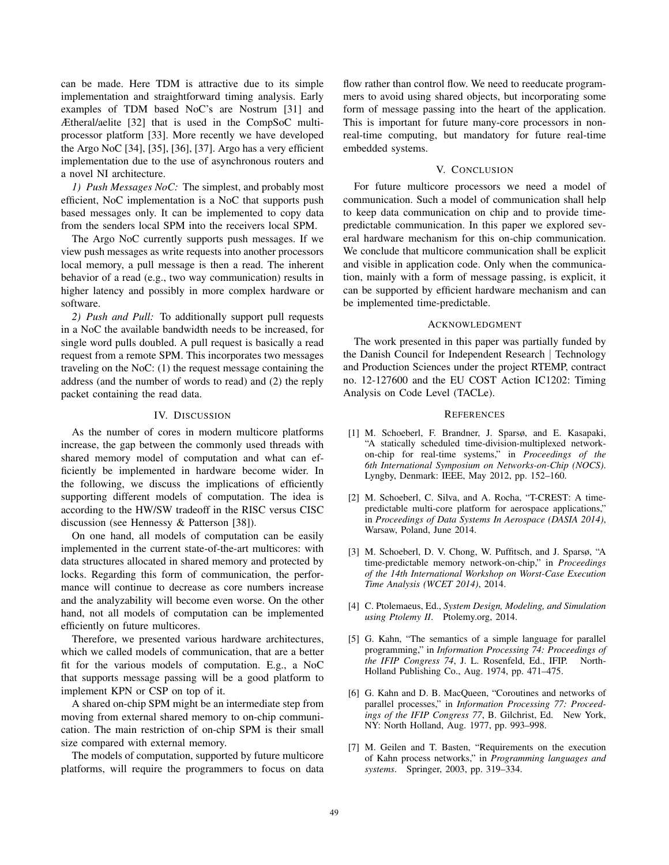can be made. Here TDM is attractive due to its simple implementation and straightforward timing analysis. Early examples of TDM based NoC's are Nostrum [31] and Ætheral/aelite [32] that is used in the CompSoC multiprocessor platform [33]. More recently we have developed the Argo NoC [34], [35], [36], [37]. Argo has a very efficient implementation due to the use of asynchronous routers and a novel NI architecture.

*1) Push Messages NoC:* The simplest, and probably most efficient, NoC implementation is a NoC that supports push based messages only. It can be implemented to copy data from the senders local SPM into the receivers local SPM.

The Argo NoC currently supports push messages. If we view push messages as write requests into another processors local memory, a pull message is then a read. The inherent behavior of a read (e.g., two way communication) results in higher latency and possibly in more complex hardware or software.

*2) Push and Pull:* To additionally support pull requests in a NoC the available bandwidth needs to be increased, for single word pulls doubled. A pull request is basically a read request from a remote SPM. This incorporates two messages traveling on the NoC: (1) the request message containing the address (and the number of words to read) and (2) the reply packet containing the read data.

## IV. DISCUSSION

As the number of cores in modern multicore platforms increase, the gap between the commonly used threads with shared memory model of computation and what can efficiently be implemented in hardware become wider. In the following, we discuss the implications of efficiently supporting different models of computation. The idea is according to the HW/SW tradeoff in the RISC versus CISC discussion (see Hennessy & Patterson [38]).

On one hand, all models of computation can be easily implemented in the current state-of-the-art multicores: with data structures allocated in shared memory and protected by locks. Regarding this form of communication, the performance will continue to decrease as core numbers increase and the analyzability will become even worse. On the other hand, not all models of computation can be implemented efficiently on future multicores.

Therefore, we presented various hardware architectures, which we called models of communication, that are a better fit for the various models of computation. E.g., a NoC that supports message passing will be a good platform to implement KPN or CSP on top of it.

A shared on-chip SPM might be an intermediate step from moving from external shared memory to on-chip communication. The main restriction of on-chip SPM is their small size compared with external memory.

The models of computation, supported by future multicore platforms, will require the programmers to focus on data flow rather than control flow. We need to reeducate programmers to avoid using shared objects, but incorporating some form of message passing into the heart of the application. This is important for future many-core processors in nonreal-time computing, but mandatory for future real-time embedded systems.

#### V. CONCLUSION

For future multicore processors we need a model of communication. Such a model of communication shall help to keep data communication on chip and to provide timepredictable communication. In this paper we explored several hardware mechanism for this on-chip communication. We conclude that multicore communication shall be explicit and visible in application code. Only when the communication, mainly with a form of message passing, is explicit, it can be supported by efficient hardware mechanism and can be implemented time-predictable.

## ACKNOWLEDGMENT

The work presented in this paper was partially funded by the Danish Council for Independent Research | Technology and Production Sciences under the project RTEMP, contract no. 12-127600 and the EU COST Action IC1202: Timing Analysis on Code Level (TACLe).

#### **REFERENCES**

- [1] M. Schoeberl, F. Brandner, J. Sparsø, and E. Kasapaki, "A statically scheduled time-division-multiplexed networkon-chip for real-time systems," in *Proceedings of the 6th International Symposium on Networks-on-Chip (NOCS)*. Lyngby, Denmark: IEEE, May 2012, pp. 152–160.
- [2] M. Schoeberl, C. Silva, and A. Rocha, "T-CREST: A timepredictable multi-core platform for aerospace applications," in *Proceedings of Data Systems In Aerospace (DASIA 2014)*, Warsaw, Poland, June 2014.
- [3] M. Schoeberl, D. V. Chong, W. Puffitsch, and J. Sparsø, "A time-predictable memory network-on-chip," in *Proceedings of the 14th International Workshop on Worst-Case Execution Time Analysis (WCET 2014)*, 2014.
- [4] C. Ptolemaeus, Ed., *System Design, Modeling, and Simulation using Ptolemy II*. Ptolemy.org, 2014.
- [5] G. Kahn, "The semantics of a simple language for parallel programming," in *Information Processing 74: Proceedings of the IFIP Congress 74*, J. L. Rosenfeld, Ed., IFIP. North-Holland Publishing Co., Aug. 1974, pp. 471–475.
- [6] G. Kahn and D. B. MacQueen, "Coroutines and networks of parallel processes," in *Information Processing 77: Proceedings of the IFIP Congress 77*, B. Gilchrist, Ed. New York, NY: North Holland, Aug. 1977, pp. 993–998.
- [7] M. Geilen and T. Basten, "Requirements on the execution of Kahn process networks," in *Programming languages and systems*. Springer, 2003, pp. 319–334.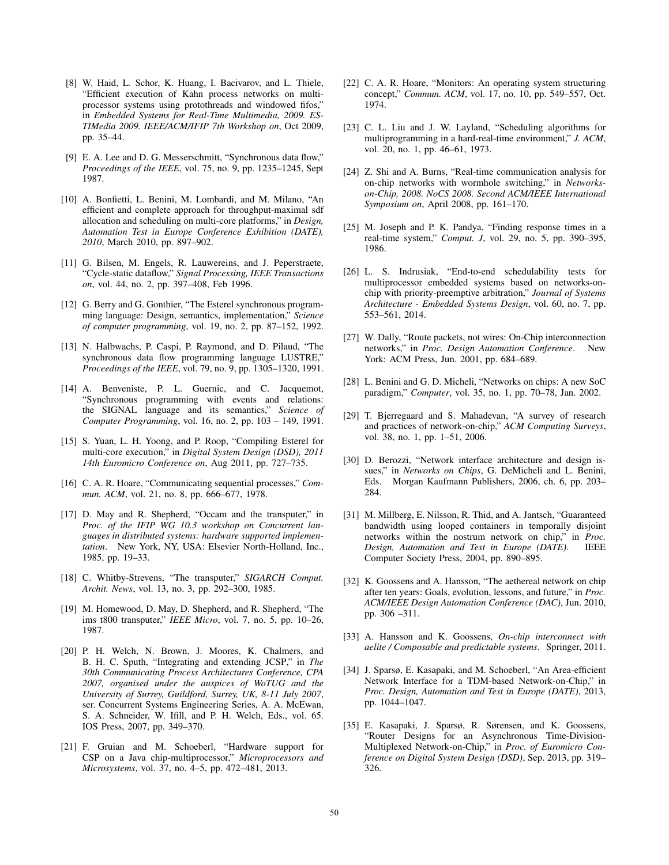- [8] W. Haid, L. Schor, K. Huang, I. Bacivarov, and L. Thiele, "Efficient execution of Kahn process networks on multiprocessor systems using protothreads and windowed fifos," in *Embedded Systems for Real-Time Multimedia, 2009. ES-TIMedia 2009. IEEE/ACM/IFIP 7th Workshop on*, Oct 2009, pp. 35–44.
- [9] E. A. Lee and D. G. Messerschmitt, "Synchronous data flow," *Proceedings of the IEEE*, vol. 75, no. 9, pp. 1235–1245, Sept 1987.
- [10] A. Bonfietti, L. Benini, M. Lombardi, and M. Milano, "An efficient and complete approach for throughput-maximal sdf allocation and scheduling on multi-core platforms," in *Design, Automation Test in Europe Conference Exhibition (DATE), 2010*, March 2010, pp. 897–902.
- [11] G. Bilsen, M. Engels, R. Lauwereins, and J. Peperstraete, "Cycle-static dataflow," *Signal Processing, IEEE Transactions on*, vol. 44, no. 2, pp. 397–408, Feb 1996.
- [12] G. Berry and G. Gonthier, "The Esterel synchronous programming language: Design, semantics, implementation," *Science of computer programming*, vol. 19, no. 2, pp. 87–152, 1992.
- [13] N. Halbwachs, P. Caspi, P. Raymond, and D. Pilaud, "The synchronous data flow programming language LUSTRE," *Proceedings of the IEEE*, vol. 79, no. 9, pp. 1305–1320, 1991.
- [14] A. Benveniste, P. L. Guernic, and C. Jacquemot, "Synchronous programming with events and relations: the SIGNAL language and its semantics," *Science of Computer Programming*, vol. 16, no. 2, pp. 103 – 149, 1991.
- [15] S. Yuan, L. H. Yoong, and P. Roop, "Compiling Esterel for multi-core execution," in *Digital System Design (DSD), 2011 14th Euromicro Conference on*, Aug 2011, pp. 727–735.
- [16] C. A. R. Hoare, "Communicating sequential processes," *Commun. ACM*, vol. 21, no. 8, pp. 666–677, 1978.
- [17] D. May and R. Shepherd, "Occam and the transputer," in *Proc. of the IFIP WG 10.3 workshop on Concurrent languages in distributed systems: hardware supported implementation*. New York, NY, USA: Elsevier North-Holland, Inc., 1985, pp. 19–33.
- [18] C. Whitby-Strevens, "The transputer," *SIGARCH Comput. Archit. News*, vol. 13, no. 3, pp. 292–300, 1985.
- [19] M. Homewood, D. May, D. Shepherd, and R. Shepherd, "The ims t800 transputer," *IEEE Micro*, vol. 7, no. 5, pp. 10–26, 1987.
- [20] P. H. Welch, N. Brown, J. Moores, K. Chalmers, and B. H. C. Sputh, "Integrating and extending JCSP," in *The 30th Communicating Process Architectures Conference, CPA 2007, organised under the auspices of WoTUG and the University of Surrey, Guildford, Surrey, UK, 8-11 July 2007*, ser. Concurrent Systems Engineering Series, A. A. McEwan, S. A. Schneider, W. Ifill, and P. H. Welch, Eds., vol. 65. IOS Press, 2007, pp. 349–370.
- [21] F. Gruian and M. Schoeberl, "Hardware support for CSP on a Java chip-multiprocessor," *Microprocessors and Microsystems*, vol. 37, no. 4–5, pp. 472–481, 2013.
- [22] C. A. R. Hoare, "Monitors: An operating system structuring concept," *Commun. ACM*, vol. 17, no. 10, pp. 549–557, Oct. 1974.
- [23] C. L. Liu and J. W. Layland, "Scheduling algorithms for multiprogramming in a hard-real-time environment," *J. ACM*, vol. 20, no. 1, pp. 46–61, 1973.
- [24] Z. Shi and A. Burns, "Real-time communication analysis for on-chip networks with wormhole switching," in *Networkson-Chip, 2008. NoCS 2008. Second ACM/IEEE International Symposium on*, April 2008, pp. 161–170.
- [25] M. Joseph and P. K. Pandya, "Finding response times in a real-time system," *Comput. J*, vol. 29, no. 5, pp. 390–395, 1986.
- [26] L. S. Indrusiak, "End-to-end schedulability tests for multiprocessor embedded systems based on networks-onchip with priority-preemptive arbitration," *Journal of Systems Architecture - Embedded Systems Design*, vol. 60, no. 7, pp. 553–561, 2014.
- [27] W. Dally, "Route packets, not wires: On-Chip interconnection networks," in *Proc. Design Automation Conference*. New York: ACM Press, Jun. 2001, pp. 684–689.
- [28] L. Benini and G. D. Micheli, "Networks on chips: A new SoC paradigm," *Computer*, vol. 35, no. 1, pp. 70–78, Jan. 2002.
- [29] T. Bjerregaard and S. Mahadevan, "A survey of research and practices of network-on-chip," *ACM Computing Surveys*, vol. 38, no. 1, pp. 1–51, 2006.
- [30] D. Berozzi, "Network interface architecture and design issues," in *Networks on Chips*, G. DeMicheli and L. Benini, Eds. Morgan Kaufmann Publishers, 2006, ch. 6, pp. 203– 284.
- [31] M. Millberg, E. Nilsson, R. Thid, and A. Jantsch, "Guaranteed bandwidth using looped containers in temporally disjoint networks within the nostrum network on chip," in *Proc. Design, Automation and Test in Europe (DATE)*. IEEE Computer Society Press, 2004, pp. 890–895.
- [32] K. Goossens and A. Hansson, "The aethereal network on chip after ten years: Goals, evolution, lessons, and future," in *Proc. ACM/IEEE Design Automation Conference (DAC)*, Jun. 2010, pp. 306 –311.
- [33] A. Hansson and K. Goossens, *On-chip interconnect with aelite / Composable and predictable systems*. Springer, 2011.
- [34] J. Sparsø, E. Kasapaki, and M. Schoeberl, "An Area-efficient Network Interface for a TDM-based Network-on-Chip," in *Proc. Design, Automation and Test in Europe (DATE)*, 2013, pp. 1044–1047.
- [35] E. Kasapaki, J. Sparsø, R. Sørensen, and K. Goossens, "Router Designs for an Asynchronous Time-Division-Multiplexed Network-on-Chip," in *Proc. of Euromicro Conference on Digital System Design (DSD)*, Sep. 2013, pp. 319– 326.